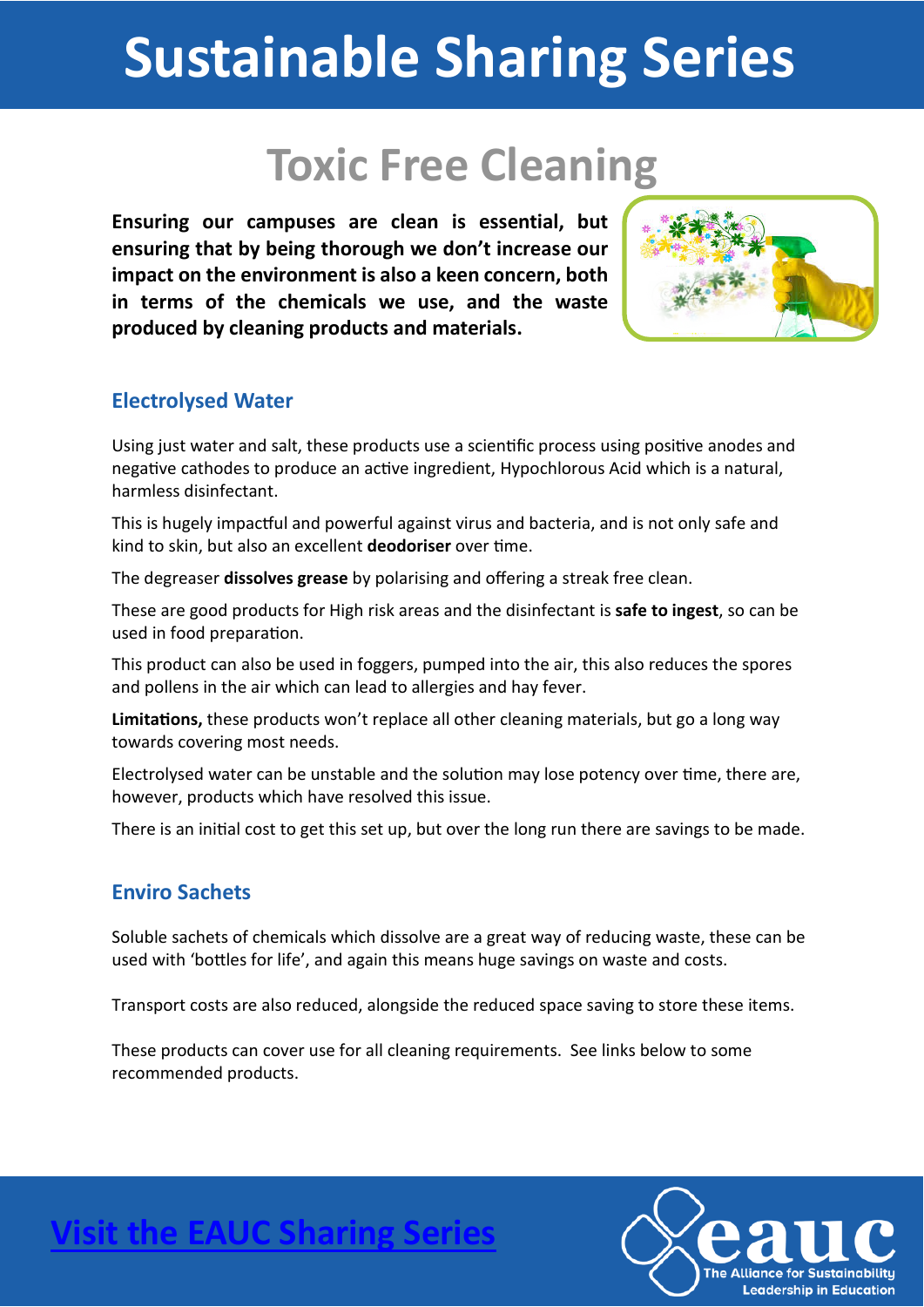# **Sustainable Sharing Series**

### **Toxic Free Cleaning**

**Ensuring our campuses are clean is essential, but ensuring that by being thorough we don't increase our impact on the environment is also a keen concern, both in terms of the chemicals we use, and the waste produced by cleaning products and materials.**



#### **Electrolysed Water**

Using just water and salt, these products use a scientific process using positive anodes and negative cathodes to produce an active ingredient, Hypochlorous Acid which is a natural, harmless disinfectant.

This is hugely impactful and powerful against virus and bacteria, and is not only safe and kind to skin, but also an excellent **deodoriser** over time.

The degreaser **dissolves grease** by polarising and offering a streak free clean.

These are good products for High risk areas and the disinfectant is **safe to ingest**, so can be used in food preparation.

This product can also be used in foggers, pumped into the air, this also reduces the spores and pollens in the air which can lead to allergies and hay fever.

Limitations, these products won't replace all other cleaning materials, but go a long way towards covering most needs.

Electrolysed water can be unstable and the solution may lose potency over time, there are, however, products which have resolved this issue.

There is an initial cost to get this set up, but over the long run there are savings to be made.

#### **Enviro Sachets**

Soluble sachets of chemicals which dissolve are a great way of reducing waste, these can be used with 'bottles for life', and again this means huge savings on waste and costs.

Transport costs are also reduced, alongside the reduced space saving to store these items.

These products can cover use for all cleaning requirements. See links below to some recommended products.



**Visit the EAUC Sharing Se**